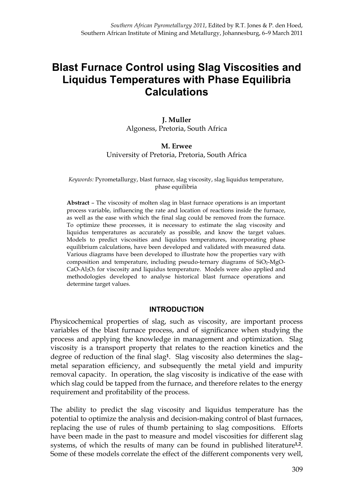# **Blast Furnace Control using Slag Viscosities and Liquidus Temperatures with Phase Equilibria Calculations**

# **J. Muller** Algoness, Pretoria, South Africa

## **M. Erwee** University of Pretoria, Pretoria, South Africa

#### *Keywords:* Pyrometallurgy, blast furnace, slag viscosity, slag liquidus temperature, phase equilibria

**Abstract** – The viscosity of molten slag in blast furnace operations is an important process variable, influencing the rate and location of reactions inside the furnace, as well as the ease with which the final slag could be removed from the furnace. To optimize these processes, it is necessary to estimate the slag viscosity and liquidus temperatures as accurately as possible, and know the target values. Models to predict viscosities and liquidus temperatures, incorporating phase equilibrium calculations, have been developed and validated with measured data. Various diagrams have been developed to illustrate how the properties vary with composition and temperature, including pseudo-ternary diagrams of SiO<sub>2</sub>-MgO- $CaO-Al<sub>2</sub>O<sub>3</sub>$  for viscosity and liquidus temperature. Models were also applied and methodologies developed to analyse historical blast furnace operations and determine target values.

## **INTRODUCTION**

Physicochemical properties of slag, such as viscosity, are important process variables of the blast furnace process, and of significance when studying the process and applying the knowledge in management and optimization. Slag viscosity is a transport property that relates to the reaction kinetics and the degree of reduction of the final slag**1**. Slag viscosity also determines the slag– metal separation efficiency, and subsequently the metal yield and impurity removal capacity. In operation, the slag viscosity is indicative of the ease with which slag could be tapped from the furnace, and therefore relates to the energy requirement and profitability of the process.

The ability to predict the slag viscosity and liquidus temperature has the potential to optimize the analysis and decision-making control of blast furnaces, replacing the use of rules of thumb pertaining to slag compositions. Efforts have been made in the past to measure and model viscosities for different slag systems, of which the results of many can be found in published literature**1,2**. Some of these models correlate the effect of the different components very well,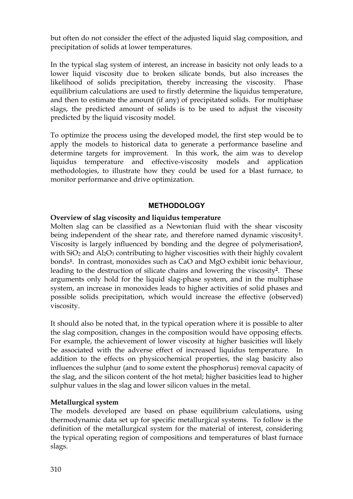but often do not consider the effect of the adjusted liquid slag composition, and precipitation of solids at lower temperatures.

In the typical slag system of interest, an increase in basicity not only leads to a lower liquid viscosity due to broken silicate bonds, but also increases the likelihood of solids precipitation, thereby increasing the viscosity. Phase equilibrium calculations are used to firstly determine the liquidus temperature, and then to estimate the amount (if any) of precipitated solids. For multiphase slags, the predicted amount of solids is to be used to adjust the viscosity predicted by the liquid viscosity model.

To optimize the process using the developed model, the first step would be to apply the models to historical data to generate a performance baseline and determine targets for improvement. In this work, the aim was to develop liquidus temperature and effective-viscosity models and application methodologies, to illustrate how they could be used for a blast furnace, to monitor performance and drive optimization.

# **METHODOLOGY**

# **Overview of slag viscosity and liquidus temperature**

Molten slag can be classified as a Newtonian fluid with the shear viscosity being independent of the shear rate, and therefore named dynamic viscosity**1**. Viscosity is largely influenced by bonding and the degree of polymerisation**2**, with  $SiO<sub>2</sub>$  and  $Al<sub>2</sub>O<sub>3</sub>$  contributing to higher viscosities with their highly covalent bonds**1**. In contrast, monoxides such as CaO and MgO exhibit ionic behaviour, leading to the destruction of silicate chains and lowering the viscosity**2**. These arguments only hold for the liquid slag-phase system, and in the multiphase system, an increase in monoxides leads to higher activities of solid phases and possible solids precipitation, which would increase the effective (observed) viscosity.

It should also be noted that, in the typical operation where it is possible to alter the slag composition, changes in the composition would have opposing effects. For example, the achievement of lower viscosity at higher basicities will likely be associated with the adverse effect of increased liquidus temperature. In addition to the effects on physicochemical properties, the slag basicity also influences the sulphur (and to some extent the phosphorus) removal capacity of the slag, and the silicon content of the hot metal; higher basicities lead to higher sulphur values in the slag and lower silicon values in the metal.

# **Metallurgical system**

The models developed are based on phase equilibrium calculations, using thermodynamic data set up for specific metallurgical systems. To follow is the definition of the metallurgical system for the material of interest, considering the typical operating region of compositions and temperatures of blast furnace slags.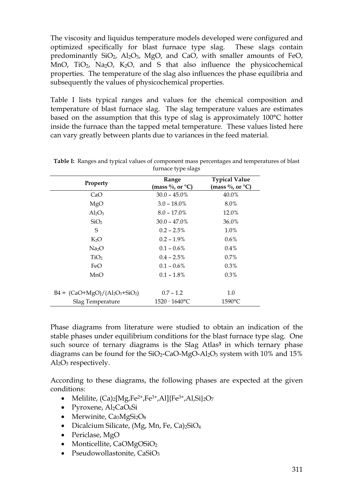The viscosity and liquidus temperature models developed were configured and optimized specifically for blast furnace type slag. These slags contain predominantly  $SiO_2$ ,  $Al_2O_3$ ,  $MgO$ , and CaO, with smaller amounts of FeO, MnO,  $TiO<sub>2</sub>$ , Na<sub>2</sub>O, K<sub>2</sub>O, and S that also influence the physicochemical properties. The temperature of the slag also influences the phase equilibria and subsequently the values of physicochemical properties.

Table I lists typical ranges and values for the chemical composition and temperature of blast furnace slag. The slag temperature values are estimates based on the assumption that this type of slag is approximately 100°C hotter inside the furnace than the tapped metal temperature. These values listed here can vary greatly between plants due to variances in the feed material.

| Property                      | Range<br>(mass $\%$ , or $\mathrm{^{\circ}C}$ ) | <b>Typical Value</b><br>(mass %, or $^{\circ}C)$ |
|-------------------------------|-------------------------------------------------|--------------------------------------------------|
| CaO                           | $30.0 - 45.0\%$                                 | 40.0%                                            |
| MgO                           | $3.0 - 18.0\%$                                  | 8.0%                                             |
| $Al_2O_3$                     | $8.0 - 17.0\%$                                  | 12.0%                                            |
| SiO <sub>2</sub>              | $30.0 - 47.0\%$                                 | 36.0%                                            |
| S                             | $0.2 - 2.5\%$                                   | 1.0%                                             |
| K <sub>2</sub> O              | $0.2 - 1.9\%$                                   | $0.6\%$                                          |
| Na <sub>2</sub> O             | $0.1 - 0.6\%$                                   | $0.4\%$                                          |
| TiO <sub>2</sub>              | $0.4 - 2.5\%$                                   | 0.7%                                             |
| FeO                           | $0.1 - 0.6\%$                                   | $0.3\%$                                          |
| MnO                           | $0.1 - 1.8\%$                                   | $0.3\%$                                          |
| $B4 = (CaO+MgO)/(Al2O3+SiO2)$ | $0.7 - 1.2$                                     | 1.0                                              |
| Slag Temperature              | $1520 - 1640$ °C                                | $1590^{\circ}$ C                                 |

**Table I:** Ranges and typical values of component mass percentages and temperatures of blast furnace type slags

Phase diagrams from literature were studied to obtain an indication of the stable phases under equilibrium conditions for the blast furnace type slag. One such source of ternary diagrams is the Slag Atlas**<sup>3</sup>** in which ternary phase diagrams can be found for the  $SiO_2$ -CaO-MgO-Al<sub>2</sub>O<sub>3</sub> system with 10% and 15%  $Al_2O_3$  respectively.

According to these diagrams, the following phases are expected at the given conditions:

- Melilite,  $(Ca)_{2} [Mg, Fe^{2+}, Fe^{3+}, Al] {Fe^{3+}, Al, Si}^{2O7}$
- Pyroxene,  $Al_2CaO_6Si$
- Merwinite,  $Ca<sub>3</sub>MgSi<sub>2</sub>O<sub>8</sub>$
- Dicalcium Silicate, (Mg, Mn, Fe, Ca)2SiO<sub>4</sub>
- Periclase, MgO
- Monticellite, CaOMgOSiO<sub>2</sub>
- Pseudowollastonite, CaSiO<sub>3</sub>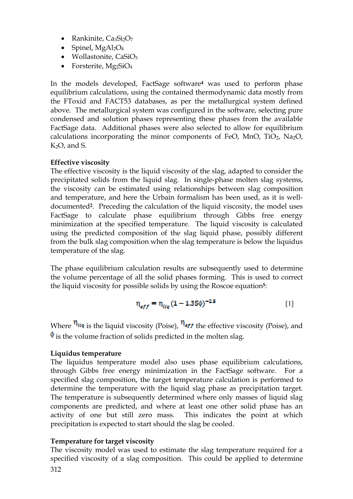- Rankinite,  $Ca_3Si_2O_7$
- Spinel,  $MgAl<sub>2</sub>O<sub>4</sub>$
- Wollastonite, CaSiO<sub>3</sub>
- Forsterite,  $Mg_2SiO_4$

In the models developed, FactSage software**<sup>4</sup>** was used to perform phase equilibrium calculations, using the contained thermodynamic data mostly from the FToxid and FACT53 databases, as per the metallurgical system defined above. The metallurgical system was configured in the software, selecting pure condensed and solution phases representing these phases from the available FactSage data. Additional phases were also selected to allow for equilibrium calculations incorporating the minor components of FeO, MnO, TiO<sub>2</sub>, Na<sub>2</sub>O, K2O, and S.

# **Effective viscosity**

The effective viscosity is the liquid viscosity of the slag, adapted to consider the precipitated solids from the liquid slag. In single-phase molten slag systems, the viscosity can be estimated using relationships between slag composition and temperature, and here the Urbain formalism has been used, as it is welldocumented**2**. Preceding the calculation of the liquid viscosity, the model uses FactSage to calculate phase equilibrium through Gibbs free energy minimization at the specified temperature. The liquid viscosity is calculated using the predicted composition of the slag liquid phase, possibly different from the bulk slag composition when the slag temperature is below the liquidus temperature of the slag.

The phase equilibrium calculation results are subsequently used to determine the volume percentage of all the solid phases forming. This is used to correct the liquid viscosity for possible solids by using the Roscoe equation**5**:

$$
\eta_{eff} = \eta_{liq} (1 - 1.35\phi)^{-2.5}
$$
 [1]

Where  $\eta_{liq}$  is the liquid viscosity (Poise),  $\eta_{eff}$  the effective viscosity (Poise), and  $\phi$  is the volume fraction of solids predicted in the molten slag.

# **Liquidus temperature**

The liquidus temperature model also uses phase equilibrium calculations, through Gibbs free energy minimization in the FactSage software. For a specified slag composition, the target temperature calculation is performed to determine the temperature with the liquid slag phase as precipitation target. The temperature is subsequently determined where only masses of liquid slag components are predicted, and where at least one other solid phase has an activity of one but still zero mass. This indicates the point at which precipitation is expected to start should the slag be cooled.

# **Temperature for target viscosity**

312 The viscosity model was used to estimate the slag temperature required for a specified viscosity of a slag composition. This could be applied to determine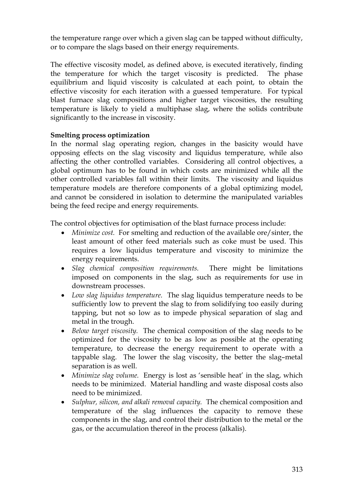the temperature range over which a given slag can be tapped without difficulty, or to compare the slags based on their energy requirements.

The effective viscosity model, as defined above, is executed iteratively, finding the temperature for which the target viscosity is predicted. The phase equilibrium and liquid viscosity is calculated at each point, to obtain the effective viscosity for each iteration with a guessed temperature. For typical blast furnace slag compositions and higher target viscosities, the resulting temperature is likely to yield a multiphase slag, where the solids contribute significantly to the increase in viscosity.

## **Smelting process optimization**

In the normal slag operating region, changes in the basicity would have opposing effects on the slag viscosity and liquidus temperature, while also affecting the other controlled variables. Considering all control objectives, a global optimum has to be found in which costs are minimized while all the other controlled variables fall within their limits. The viscosity and liquidus temperature models are therefore components of a global optimizing model, and cannot be considered in isolation to determine the manipulated variables being the feed recipe and energy requirements.

The control objectives for optimisation of the blast furnace process include:

- · *Minimize cost.* For smelting and reduction of the available ore/sinter, the least amount of other feed materials such as coke must be used. This requires a low liquidus temperature and viscosity to minimize the energy requirements.
- · *Slag chemical composition requirements.* There might be limitations imposed on components in the slag, such as requirements for use in downstream processes.
- · *Low slag liquidus temperature.* The slag liquidus temperature needs to be sufficiently low to prevent the slag to from solidifying too easily during tapping, but not so low as to impede physical separation of slag and metal in the trough.
- · *Below target viscosity.* The chemical composition of the slag needs to be optimized for the viscosity to be as low as possible at the operating temperature, to decrease the energy requirement to operate with a tappable slag. The lower the slag viscosity, the better the slag–metal separation is as well.
- · *Minimize slag volume.* Energy is lost as 'sensible heat' in the slag, which needs to be minimized. Material handling and waste disposal costs also need to be minimized.
- · *Sulphur, silicon, and alkali removal capacity.* The chemical composition and temperature of the slag influences the capacity to remove these components in the slag, and control their distribution to the metal or the gas, or the accumulation thereof in the process (alkalis).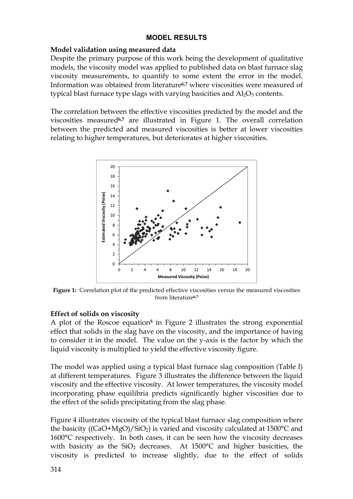## **MODEL RESULTS**

## **Model validation using measured data**

Despite the primary purpose of this work being the development of qualitative models, the viscosity model was applied to published data on blast furnace slag viscosity measurements, to quantify to some extent the error in the model. Information was obtained from literature**6,7** where viscosities were measured of typical blast furnace type slags with varying basicities and  $Al_2O_3$  contents.

The correlation between the effective viscosities predicted by the model and the viscosities measured**6,7** are illustrated in Figure 1. The overall correlation between the predicted and measured viscosities is better at lower viscosities relating to higher temperatures, but deteriorates at higher viscosities.



**Figure 1:** Correlation plot of the predicted effective viscosities versus the measured viscosities from literature**6,7**

## **Effect of solids on viscosity**

A plot of the Roscoe equation**<sup>5</sup>** in Figure 2 illustrates the strong exponential effect that solids in the slag have on the viscosity, and the importance of having to consider it in the model. The value on the y-axis is the factor by which the liquid viscosity is multiplied to yield the effective viscosity figure.

The model was applied using a typical blast furnace slag composition (Table I) at different temperatures. Figure 3 illustrates the difference between the liquid viscosity and the effective viscosity. At lower temperatures, the viscosity model incorporating phase equilibria predicts significantly higher viscosities due to the effect of the solids precipitating from the slag phase.

Figure 4 illustrates viscosity of the typical blast furnace slag composition where the basicity ( $(CaO+MgO)/SiO<sub>2</sub>$ ) is varied and viscosity calculated at 1500 $^{\circ}$ C and 1600°C respectively. In both cases, it can be seen how the viscosity decreases with basicity as the  $SiO<sub>2</sub>$  decreases. At 1500 $^{\circ}$ C and higher basicities, the viscosity is predicted to increase slightly, due to the effect of solids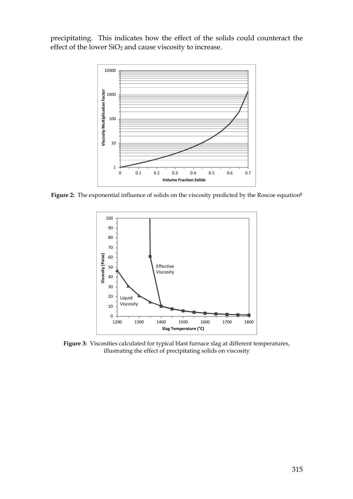precipitating. This indicates how the effect of the solids could counteract the effect of the lower  $SiO<sub>2</sub>$  and cause viscosity to increase.



**Figure 2:** The exponential influence of solids on the viscosity predicted by the Roscoe equation**<sup>5</sup>**



**Figure 3:** Viscosities calculated for typical blast furnace slag at different temperatures, illustrating the effect of precipitating solids on viscosity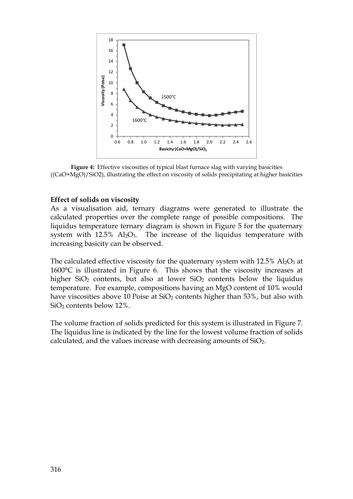

**Figure 4:** Effective viscosities of typical blast furnace slag with varying basicities ((CaO+MgO)/SiO2), illustrating the effect on viscosity of solids precipitating at higher basicities

#### **Effect of solids on viscosity**

As a visualisation aid, ternary diagrams were generated to illustrate the calculated properties over the complete range of possible compositions. The liquidus temperature ternary diagram is shown in Figure 5 for the quaternary system with  $12.5\%$  Al<sub>2</sub>O<sub>3</sub>. The increase of the liquidus temperature with increasing basicity can be observed.

The calculated effective viscosity for the quaternary system with  $12.5\%$  Al<sub>2</sub>O<sub>3</sub> at 1600°C is illustrated in Figure 6. This shows that the viscosity increases at higher  $SiO<sub>2</sub>$  contents, but also at lower  $SiO<sub>2</sub>$  contents below the liquidus temperature. For example, compositions having an MgO content of 10% would have viscosities above 10 Poise at  $SiO<sub>2</sub>$  contents higher than 53%, but also with SiO<sup>2</sup> contents below 12%.

The volume fraction of solids predicted for this system is illustrated in Figure 7. The liquidus line is indicated by the line for the lowest volume fraction of solids calculated, and the values increase with decreasing amounts of  $SiO<sub>2</sub>$ .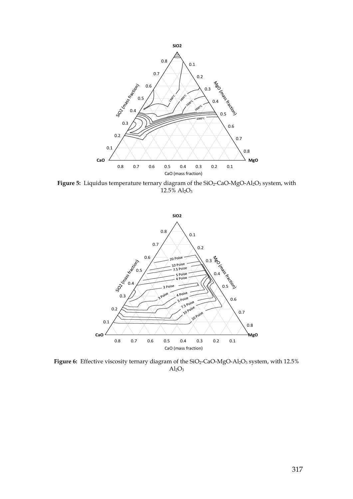

Figure 5: Liquidus temperature ternary diagram of the SiO<sub>2</sub>-CaO-MgO-Al<sub>2</sub>O<sub>3</sub> system, with  $12.5\%$  Al<sub>2</sub>O<sub>3</sub>



Figure 6: Effective viscosity ternary diagram of the SiO<sub>2</sub>-CaO-MgO-Al<sub>2</sub>O<sub>3</sub> system, with 12.5%  $Al<sub>2</sub>O<sub>3</sub>$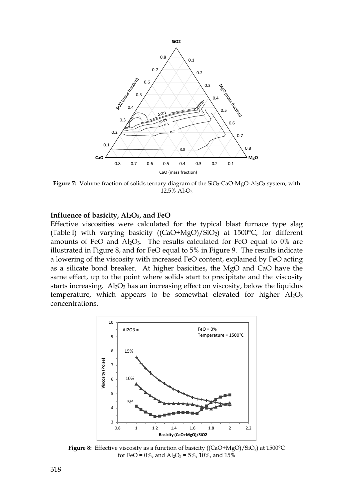

Figure 7: Volume fraction of solids ternary diagram of the SiO<sub>2</sub>-CaO-MgO-Al<sub>2</sub>O<sub>3</sub> system, with  $12.5\%$   $Al_2O_3$ 

#### **Influence of basicity, Al2O3, and FeO**

Effective viscosities were calculated for the typical blast furnace type slag (Table I) with varying basicity ((CaO+MgO)/SiO2) at 1500°C, for different amounts of FeO and  $Al_2O_3$ . The results calculated for FeO equal to 0% are illustrated in Figure 8, and for FeO equal to 5% in Figure 9. The results indicate a lowering of the viscosity with increased FeO content, explained by FeO acting as a silicate bond breaker. At higher basicities, the MgO and CaO have the same effect, up to the point where solids start to precipitate and the viscosity starts increasing. Al<sub>2</sub>O<sub>3</sub> has an increasing effect on viscosity, below the liquidus temperature, which appears to be somewhat elevated for higher  $Al_2O_3$ concentrations.



**Figure 8:** Effective viscosity as a function of basicity ((CaO+MgO)/SiO<sub>2</sub>) at 1500°C for FeO =  $0\%$ , and Al<sub>2</sub>O<sub>3</sub> =  $5\%$ , 10%, and 15%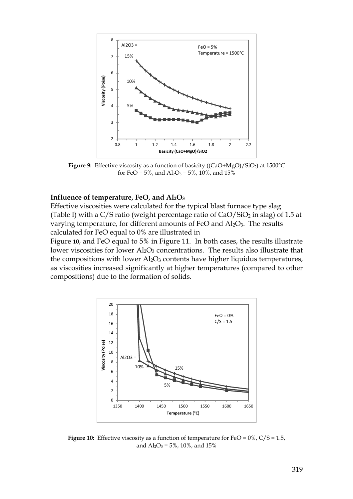

Figure 9: Effective viscosity as a function of basicity ((CaO+MgO)/SiO<sub>2</sub>) at 1500°C for FeO =  $5\%$ , and  $Al_2O_3 = 5\%$ , 10%, and 15%

#### **Influence of temperature, FeO, and Al2O<sup>3</sup>**

Effective viscosities were calculated for the typical blast furnace type slag (Table I) with a C/S ratio (weight percentage ratio of  $CaO/SiO<sub>2</sub>$  in slag) of 1.5 at varying temperature, for different amounts of FeO and Al<sub>2</sub>O<sub>3</sub>. The results calculated for FeO equal to 0% are illustrated in

Figure **10**, and FeO equal to 5% in Figure 11. In both cases, the results illustrate lower viscosities for lower Al<sub>2</sub>O<sub>3</sub> concentrations. The results also illustrate that the compositions with lower  $\text{Al}_2\text{O}_3$  contents have higher liquidus temperatures, as viscosities increased significantly at higher temperatures (compared to other compositions) due to the formation of solids.



**Figure 10:** Effective viscosity as a function of temperature for FeO =  $0\%$ , C/S = 1.5, and  $Al_2O_3 = 5\%$ , 10%, and 15%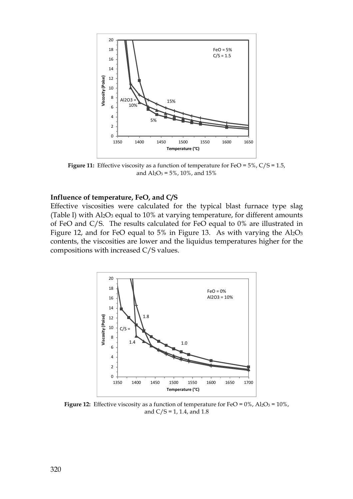

**Figure 11:** Effective viscosity as a function of temperature for FeO = 5%, C/S = 1.5, and  $Al_2O_3 = 5\%$ , 10%, and 15%

#### **Influence of temperature, FeO, and C/S**

Effective viscosities were calculated for the typical blast furnace type slag (Table I) with  $Al_2O_3$  equal to 10% at varying temperature, for different amounts of FeO and C/S. The results calculated for FeO equal to 0% are illustrated in Figure 12, and for FeO equal to 5% in Figure 13. As with varying the  $Al_2O_3$ contents, the viscosities are lower and the liquidus temperatures higher for the compositions with increased C/S values.



**Figure 12:** Effective viscosity as a function of temperature for FeO =  $0\%$ , Al<sub>2</sub>O<sub>3</sub> =  $10\%$ , and  $C/S = 1$ , 1.4, and 1.8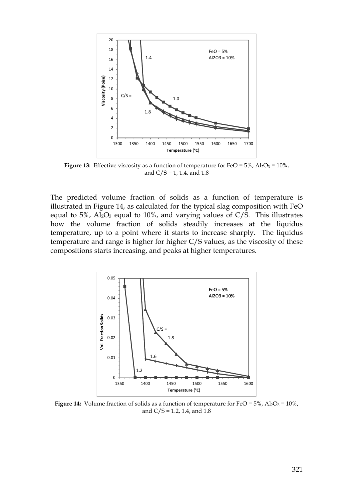

**Figure 13:** Effective viscosity as a function of temperature for FeO =  $5\%$ , Al<sub>2</sub>O<sub>3</sub> =  $10\%$ , and  $C/S = 1$ , 1.4, and 1.8

The predicted volume fraction of solids as a function of temperature is illustrated in Figure 14, as calculated for the typical slag composition with FeO equal to 5%,  $\text{Al}_2\text{O}_3$  equal to 10%, and varying values of C/S. This illustrates how the volume fraction of solids steadily increases at the liquidus temperature, up to a point where it starts to increase sharply. The liquidus temperature and range is higher for higher C/S values, as the viscosity of these compositions starts increasing, and peaks at higher temperatures.



**Figure 14:** Volume fraction of solids as a function of temperature for FeO = 5%,  $\text{Al}_2\text{O}_3$  = 10%, and  $C/S = 1.2$ , 1.4, and 1.8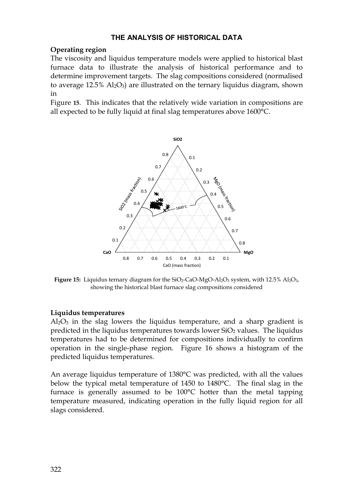## **THE ANALYSIS OF HISTORICAL DATA**

## **Operating region**

The viscosity and liquidus temperature models were applied to historical blast furnace data to illustrate the analysis of historical performance and to determine improvement targets. The slag compositions considered (normalised to average  $12.5\%$  Al<sub>2</sub>O<sub>3</sub>) are illustrated on the ternary liquidus diagram, shown in

Figure **15**. This indicates that the relatively wide variation in compositions are all expected to be fully liquid at final slag temperatures above 1600°C.



Figure 15: Liquidus ternary diagram for the SiO<sub>2</sub>-CaO-MgO-Al<sub>2</sub>O<sub>3</sub> system, with 12.5% Al<sub>2</sub>O<sub>3</sub>, showing the historical blast furnace slag compositions considered

## **Liquidus temperatures**

 $Al_2O_3$  in the slag lowers the liquidus temperature, and a sharp gradient is predicted in the liquidus temperatures towards lower  $SiO<sub>2</sub>$  values. The liquidus temperatures had to be determined for compositions individually to confirm operation in the single-phase region. Figure 16 shows a histogram of the predicted liquidus temperatures.

An average liquidus temperature of 1380°C was predicted, with all the values below the typical metal temperature of 1450 to 1480°C. The final slag in the furnace is generally assumed to be 100°C hotter than the metal tapping temperature measured, indicating operation in the fully liquid region for all slags considered.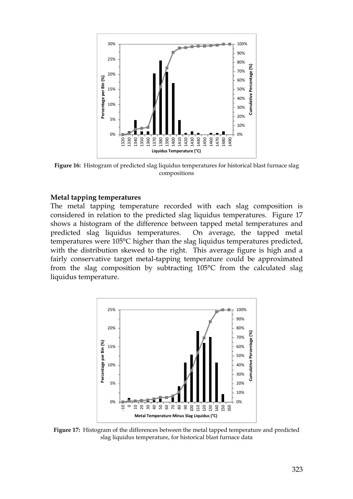

**Figure 16:** Histogram of predicted slag liquidus temperatures for historical blast furnace slag compositions

#### **Metal tapping temperatures**

The metal tapping temperature recorded with each slag composition is considered in relation to the predicted slag liquidus temperatures. Figure 17 shows a histogram of the difference between tapped metal temperatures and predicted slag liquidus temperatures. On average, the tapped metal temperatures were 105°C higher than the slag liquidus temperatures predicted, with the distribution skewed to the right. This average figure is high and a fairly conservative target metal-tapping temperature could be approximated from the slag composition by subtracting 105°C from the calculated slag liquidus temperature.



**Figure 17:** Histogram of the differences between the metal tapped temperature and predicted slag liquidus temperature, for historical blast furnace data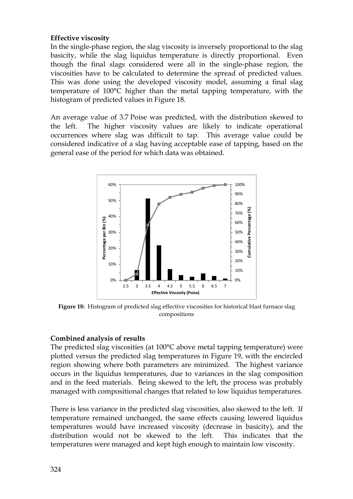## **Effective viscosity**

In the single-phase region, the slag viscosity is inversely proportional to the slag basicity, while the slag liquidus temperature is directly proportional. Even though the final slags considered were all in the single-phase region, the viscosities have to be calculated to determine the spread of predicted values. This was done using the developed viscosity model, assuming a final slag temperature of 100°C higher than the metal tapping temperature, with the histogram of predicted values in Figure 18.

An average value of 3.7 Poise was predicted, with the distribution skewed to the left. The higher viscosity values are likely to indicate operational occurrences where slag was difficult to tap. This average value could be considered indicative of a slag having acceptable ease of tapping, based on the general ease of the period for which data was obtained.



**Figure 18:** Histogram of predicted slag effective viscosities for historical blast furnace slag compositions

# **Combined analysis of results**

The predicted slag viscosities (at 100°C above metal tapping temperature) were plotted versus the predicted slag temperatures in Figure 19, with the encircled region showing where both parameters are minimized. The highest variance occurs in the liquidus temperatures, due to variances in the slag composition and in the feed materials. Being skewed to the left, the process was probably managed with compositional changes that related to low liquidus temperatures.

There is less variance in the predicted slag viscosities, also skewed to the left. If temperature remained unchanged, the same effects causing lowered liquidus temperatures would have increased viscosity (decrease in basicity), and the distribution would not be skewed to the left. This indicates that the temperatures were managed and kept high enough to maintain low viscosity.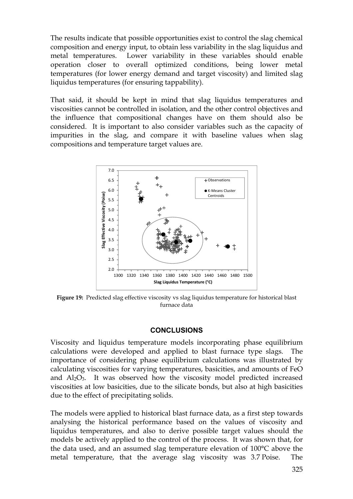The results indicate that possible opportunities exist to control the slag chemical composition and energy input, to obtain less variability in the slag liquidus and metal temperatures. Lower variability in these variables should enable operation closer to overall optimized conditions, being lower metal temperatures (for lower energy demand and target viscosity) and limited slag liquidus temperatures (for ensuring tappability).

That said, it should be kept in mind that slag liquidus temperatures and viscosities cannot be controlled in isolation, and the other control objectives and the influence that compositional changes have on them should also be considered. It is important to also consider variables such as the capacity of impurities in the slag, and compare it with baseline values when slag compositions and temperature target values are.



**Figure 19:** Predicted slag effective viscosity vs slag liquidus temperature for historical blast furnace data

#### **CONCLUSIONS**

Viscosity and liquidus temperature models incorporating phase equilibrium calculations were developed and applied to blast furnace type slags. The importance of considering phase equilibrium calculations was illustrated by calculating viscosities for varying temperatures, basicities, and amounts of FeO and  $\text{Al}_2\text{O}_3$ . It was observed how the viscosity model predicted increased viscosities at low basicities, due to the silicate bonds, but also at high basicities due to the effect of precipitating solids.

The models were applied to historical blast furnace data, as a first step towards analysing the historical performance based on the values of viscosity and liquidus temperatures, and also to derive possible target values should the models be actively applied to the control of the process. It was shown that, for the data used, and an assumed slag temperature elevation of 100°C above the metal temperature, that the average slag viscosity was 3.7 Poise. The